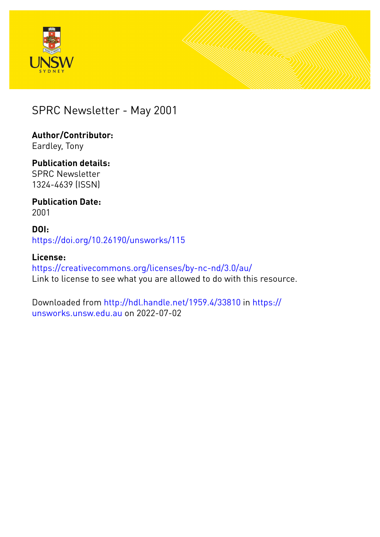



#### SPRC Newsletter - May 2001

#### **Author/Contributor:** Eardley, Tony

#### **Publication details:** SPRC Newsletter 1324-4639 (ISSN)

#### **Publication Date:** 2001

#### **DOI:** [https://doi.org/10.26190/unsworks/115](http://dx.doi.org/https://doi.org/10.26190/unsworks/115)

#### **License:** <https://creativecommons.org/licenses/by-nc-nd/3.0/au/> Link to license to see what you are allowed to do with this resource.

#### Downloaded from <http://hdl.handle.net/1959.4/33810> in [https://](https://unsworks.unsw.edu.au) [unsworks.unsw.edu.au](https://unsworks.unsw.edu.au) on 2022-07-02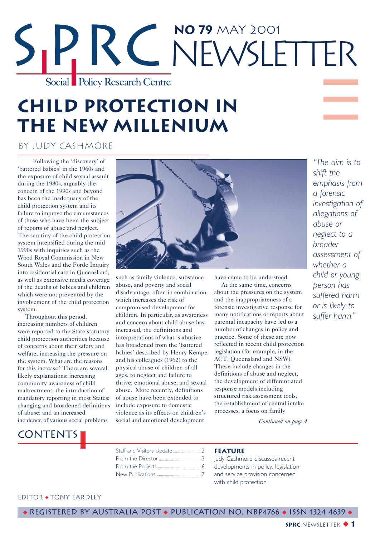# **No 79** May 2001 RC NEWSLETTER Social Policy Research Centre

### **Child protection in the new millenium**

#### by Judy Cashmore

Following the 'discovery' of 'battered babies' in the 1960s and the exposure of child sexual assault during the 1980s, arguably the concern of the 1990s and beyond has been the inadequacy of the child protection system and its failure to improve the circumstances of those who have been the subject of reports of abuse and neglect. The scrutiny of the child protection system intensified during the mid 1990s with inquiries such as the Wood Royal Commission in New South Wales and the Forde Inquiry into residential care in Queensland, as well as extensive media coverage of the deaths of babies and children which were not prevented by the involvement of the child protection system.

Throughout this period, increasing numbers of children were reported to the State statutory child protection authorities because of concerns about their safety and welfare, increasing the pressure on the system. What are the reasons for this increase? There are several likely explanations: increasing community awareness of child maltreatment; the introduction of mandatory reporting in most States; changing and broadened definitions of abuse; and an increased incidence of various social problems



such as family violence, substance abuse, and poverty and social disadvantage, often in combination, which increases the risk of compromised development for children. In particular, as awareness and concern about child abuse has increased, the definitions and interpretations of what is abusive has broadened from the 'battered babies' described by Henry Kempe and his colleagues (1962) to the physical abuse of children of all ages, to neglect and failure to thrive, emotional abuse, and sexual abuse. More recently, definitions of abuse have been extended to include exposure to domestic violence as its effects on children's social and emotional development

have come to be understood.

At the same time, concerns about the pressures on the system and the inappropriateness of a forensic investigative response for many notifications or reports about parental incapacity have led to a number of changes in policy and practice. Some of these are now reflected in recent child protection legislation (for example, in the ACT, Queensland and NSW). These include changes in the definitions of abuse and neglect, the development of differentiated response models including structured risk assessment tools, the establishment of central intake processes, a focus on family

*"The aim is to shift the emphasis from a forensic investigation of allegations of abuse or neglect to a broader assessment of whether a child or young person has suffered harm or is likely to suffer harm."*

*Continued on page 4*

#### **CONTENTS**

Staff and Visitors Update ............................2 From the Director ..........................................3 From the Projects............................................6 New Publications ............................................7

#### **Feature**

Judy Cashmore discusses recent developments in policy, legislation and service provision concerned with child protection.

#### Editor ◆ Tony eardley

◆ Registered by Australia Post ◆ Publication No. NBP4766 ◆ ISSN 1324 4639 ◆

**SPRC** NEWSLETTER ◆ **1**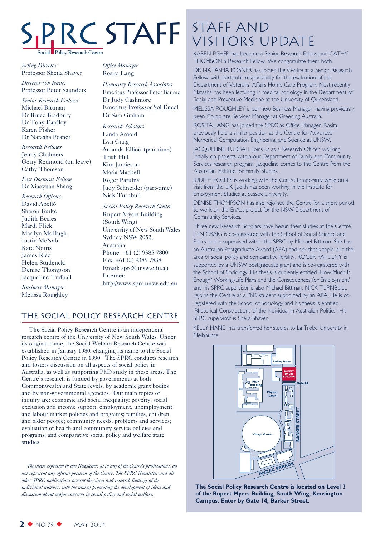# **Policy Research Centre**

*Acting Director* Professor Sheila Shaver

*Director (on leave)* Professor Peter Saunders

*Senior Research Fellows* Michael Bittman Dr Bruce Bradbury Dr Tony Eardley Karen Fisher Dr Natasha Posner

*Research Fellows* Jenny Chalmers Gerry Redmond (on leave) Cathy Thomson

*Post Doctoral Fellow* Dr Xiaoyuan Shang

*Research Officers* David Abelló Sharon Burke Judith Eccles Mardi Flick Marilyn McHugh Justin McNab Kate Norris James Rice Helen Studencki Denise Thompson Jacqueline Tudball

*Business Manager* Melissa Roughley *Office Manager* Rosita Lang

*Honorary Research Associates* Emeritus Professor Peter Baume Dr Judy Cashmore Emeritus Professor Sol Encel Dr Sara Graham

*Research Scholars* Linda Arnold Lyn Craig Amanda Elliott (part-time) Trish Hill Kim Jamieson Maria Mackell Roger Patulny Judy Schneider (part-time) Nick Turnbull

*Social Policy Research Centre* Rupert Myers Building (South Wing) University of New South Wales Sydney NSW 2052, Australia Phone: +61 (2) 9385 7800 Fax: +61 (2) 9385 7838 Email: sprc@unsw.edu.au Internet: http://www.sprc.unsw.edu.au

#### The Social Policy Research Centre

The Social Policy Research Centre is an independent research centre of the University of New South Wales. Under its original name, the Social Welfare Research Centre was established in January 1980, changing its name to the Social Policy Research Centre in 1990. The SPRC conducts research and fosters discussion on all aspects of social policy in Australia, as well as supporting PhD study in these areas. The Centre's research is funded by governments at both Commonwealth and State levels, by academic grant bodies and by non-governmental agencies. Our main topics of inquiry are: economic and social inequality; poverty, social exclusion and income support; employment, unemployment and labour market policies and programs; families, children and older people; community needs, problems and services; evaluation of health and community service policies and programs; and comparative social policy and welfare state studies.

*The views expressed in this Newsletter, as in any of the Centre's publications, do not represent any official position of the Centre. The SPRC Newsletter and all other SPRC publications present the views and research findings of the individual authors, with the aim of promoting the development of ideas and discussion about major concerns in social policy and social welfare.*

### STAFF STAFF AND Visitors Update

KAREN FISHER has become a Senior Research Fellow and CATHY THOMSON a Research Fellow. We congratulate them both.

DR NATASHA POSNER has joined the Centre as a Senior Research Fellow, with particular responsibility for the evaluation of the Department of Veterans' Affairs Home Care Program. Most recently Natasha has been lecturing in medical sociology in the Department of Social and Preventive Medicine at the University of Queensland.

MELISSA ROUGHLEY is our new Business Manager, having previously been Corporate Services Manager at Greening Australia.

ROSITA LANG has joined the SPRC as Office Manager. Rosita previously held a similar position at the Centre for Advanced Numerical Computation Engineering and Science at UNSW.

JACQUELINE TUDBALL joins us as a Research Officer, working initially on projects within our Department of Family and Community Services research program. Jacqueline comes to the Centre from the Australian Institute for Family Studies.

JUDITH ECCLES is working with the Centre temporarily while on a visit from the UK. Judith has been working in the Institute for Employment Studies at Sussex University.

DENISE THOMPSON has also rejoined the Centre for a short period to work on the EnAct project for the NSW Department of Community Services.

Three new Research Scholars have begun their studies at the Centre. LYN CRAIG is co-registered with the School of Social Science and Policy and is supervised within the SPRC by Michael Bittman. She has an Australian Postgraduate Award (APA) and her thesis topic is in the area of social policy and comparative fertility. ROGER PATULNY is supported by a UNSW postgraduate grant and is co-registered with the School of Sociology. His thesis is currently entitled 'How Much Is Enough? Working-Life Plans and the Consequences for Employment' and his SPRC supervisor is also Michael Bittman. NICK TURNBULL rejoins the Centre as a PhD student supported by an APA. He is coregistered with the School of Sociology and his thesis is entitled 'Rhetorical Constructions of the Individual in Australian Politics'. His SPRC supervisor is Sheila Shaver.

KELLY HAND has transferred her studies to La Trobe University in Melbourne.



**The Social Policy Research Centre is located on Level 3 of the Rupert Myers Building, South Wing, Kensington Campus. Enter by Gate 14, Barker Street.**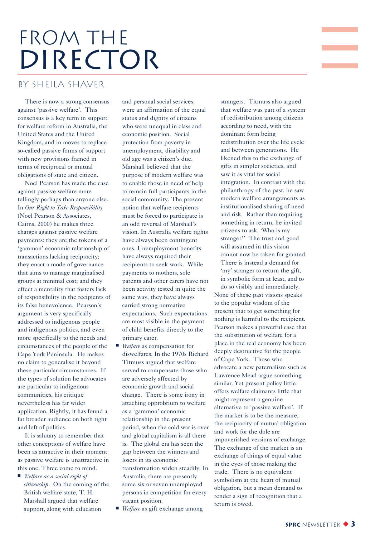# FROM THE DIRECTOR

#### by Sheila Shaver

There is now a strong consensus against 'passive welfare'. This consensus is a key term in support for welfare reform in Australia, the United States and the United Kingdom, and in moves to replace so-called passive forms of support with new provisions framed in terms of reciprocal or mutual obligations of state and citizen.

Noel Pearson has made the case against passive welfare more tellingly perhaps than anyone else. In *Our Right to Take Responsibility* (Noel Pearson & Associates, Cairns, 2000) he makes three charges against passive welfare payments: they are the tokens of a 'gammon' economic relationship of transactions lacking reciprocity; they enact a mode of governance that aims to manage marginalised groups at minimal cost; and they effect a mentality that fosters lack of responsibility in the recipients of its false benevolence. Pearson's argument is very specifically addressed to indigenous people and indigenous politics, and even more specifically to the needs and circumstances of the people of the Cape York Peninsula. He makes no claim to generalise it beyond these particular circumstances. If the types of solution he advocates are particular to indigenous communities, his critique nevertheless has far wider application. Rightly, it has found a far broader audience on both right and left of politics.

It is salutary to remember that other conceptions of welfare have been as attractive in their moment as passive welfare is unattractive in this one. Three come to mind.

■ *Welfare as a social right of citizenship*. On the coming of the British welfare state, T. H. Marshall argued that welfare support, along with education

and personal social services, were an affirmation of the equal status and dignity of citizens who were unequal in class and economic position. Social protection from poverty in unemployment, disability and old age was a citizen's due. Marshall believed that the purpose of modern welfare was to enable those in need of help to remain full participants in the social community. The present notion that welfare recipients must be forced to participate is an odd reversal of Marshall's vision. In Australia welfare rights have always been contingent ones. Unemployment benefits have always required their recipients to seek work. While payments to mothers, sole parents and other carers have not been activity tested in quite the same way, they have always carried strong normative expectations. Such expectations are most visible in the payment of child benefits directly to the primary carer.

- *Welfare* as compensation for diswelfares. In the 1970s Richard Titmuss argued that welfare served to compensate those who are adversely affected by economic growth and social change. There is some irony in attaching opprobrium to welfare as a 'gammon' economic relationship in the present period, when the cold war is over and global capitalism is all there is. The global era has seen the gap between the winners and losers in its economic transformation widen steadily. In Australia, there are presently some six or seven unemployed persons in competition for every vacant position.
- *Welfare* as gift exchange among

strangers. Titmuss also argued that welfare was part of a system of redistribution among citizens according to need, with the dominant form being redistribution over the life cycle and between generations. He likened this to the exchange of gifts in simpler societies, and saw it as vital for social integration. In contrast with the philanthropy of the past, he saw modern welfare arrangements as institutionalised sharing of need and risk. Rather than requiring something in return, he invited citizens to ask, 'Who is my stranger?' The trust and good will assumed in this vision cannot now be taken for granted. There is instead a demand for 'my' stranger to return the gift, in symbolic form at least, and to do so visibly and immediately.

None of these past visions speaks to the popular wisdom of the present that to get something for nothing is harmful to the recipient. Pearson makes a powerful case that the substitution of welfare for a place in the real economy has been deeply destructive for the people of Cape York. Those who advocate a new paternalism such as Lawrence Mead argue something similar. Yet present policy little offers welfare claimants little that might represent a genuine alternative to 'passive welfare'. If the market is to be the measure, the reciprocity of mutual obligation and work for the dole are impoverished versions of exchange. The exchange of the market is an exchange of things of equal value in the eyes of those making the trade. There is no equivalent symbolism at the heart of mutual obligation, but a mean demand to render a sign of recognition that a return is owed.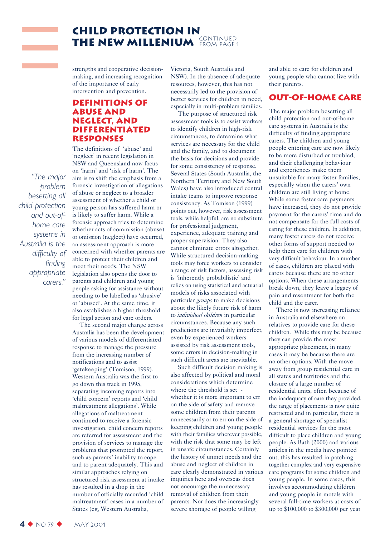

strengths and cooperative decisionmaking, and increasing recognition of the importance of early intervention and prevention.

#### **Definitions of abuse and neglect, and differentiated responses**

*"The major problem besetting all child protection and out-ofhome care systems in Australia is the difficulty of finding appropriate carers."*

and the state of

The definitions of 'abuse' and 'neglect' in recent legislation in NSW and Queensland now focus on 'harm' and 'risk of harm'. The aim is to shift the emphasis from a forensic investigation of allegations of abuse or neglect to a broader assessment of whether a child or young person has suffered harm or is likely to suffer harm. While a forensic approach tries to determine whether acts of commission (abuse) or omission (neglect) have occurred, an assessment approach is more concerned with whether parents are able to protect their children and meet their needs. The NSW legislation also opens the door to parents and children and young people asking for assistance without needing to be labelled as 'abusive' or 'abused'. At the same time, it also establishes a higher threshold for legal action and care orders.

The second major change across Australia has been the development of various models of differentiated response to manage the pressure from the increasing number of notifications and to assist 'gatekeeping' (Tomison, 1999). Western Australia was the first to go down this track in 1995, separating incoming reports into 'child concern' reports and 'child maltreatment allegations'. While allegations of maltreatment continued to receive a forensic investigation, child concern reports are referred for assessment and the provision of services to manage the problems that prompted the report, such as parents' inability to cope and to parent adequately. This and similar approaches relying on structured risk assessment at intake has resulted in a drop in the number of officially recorded 'child maltreatment' cases in a number of States (eg, Western Australia,

Victoria, South Australia and NSW). In the absence of adequate resources, however, this has not necessarily led to the provision of better services for children in need, especially in multi-problem families.

The purpose of structured risk assessment tools is to assist workers to identify children in high-risk circumstances, to determine what services are necessary for the child and the family, and to document the basis for decisions and provide for some consistency of response. Several States (South Australia, the Northern Territory and New South Wales) have also introduced central intake teams to improve response consistency. As Tomison (1999) points out, however, risk assessment tools, while helpful, are no substitute for professional judgment, experience, adequate training and proper supervision. They also cannot eliminate errors altogether. While structured decision-making tools may force workers to consider a range of risk factors, assessing risk is 'inherently probabilistic' and relies on using statistical and actuarial models of risks associated with particular *groups* to make decisions about the likely future risk of harm to *individual children* in particular circumstances. Because any such predictions are invariably imperfect, even by experienced workers assisted by risk assessment tools, some errors in decision-making in such difficult areas are inevitable.

Such difficult decision making is also affected by political and moral considerations which determine where the threshold is set whether it is more important to err on the side of safety and remove some children from their parents unnecessarily or to err on the side of keeping children and young people with their families wherever possible, with the risk that some may be left in unsafe circumstances. Certainly the history of unmet needs and the abuse and neglect of children in care clearly demonstrated in various inquiries here and overseas does not encourage the unnecessary removal of children from their parents. Nor does the increasingly severe shortage of people willing

and able to care for children and young people who cannot live with their parents.

#### **Out-of-home care**

The major problem besetting all child protection and out-of-home care systems in Australia is the difficulty of finding appropriate carers. The children and young people entering care are now likely to be more disturbed or troubled, and their challenging behaviour and experiences make them unsuitable for many foster families, especially when the carers' own children are still living at home. While some foster care payments have increased, they do not provide payment for the carers' time and do not compensate for the full costs of caring for these children. In addition, many foster carers do not receive other forms of support needed to help them care for children with very difficult behaviour. In a number of cases, children are placed with carers because there are no other options. When these arrangements break down, they leave a legacy of pain and resentment for both the child and the carer.

There is now increasing reliance in Australia and elsewhere on relatives to provide care for these children. While this may be because they can provide the most appropriate placement, in many cases it may be because there are no other options. With the move away from group residential care in all states and territories and the closure of a large number of residential units, often because of the inadequacy of care they provided, the range of placements is now quite restricted and in particular, there is a general shortage of specialist residential services for the most difficult to place children and young people. As Bath (2000) and various articles in the media have pointed out, this has resulted in patching together complex and very expensive care programs for some children and young people. In some cases, this involves accommodating children and young people in motels with several full-time workers at costs of up to \$100,000 to \$300,000 per year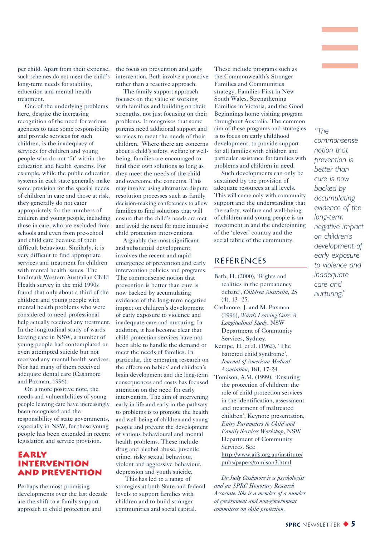per child. Apart from their expense, such schemes do not meet the child's long-term needs for stability, education and mental health treatment.

One of the underlying problems here, despite the increasing recognition of the need for various agencies to take some responsibility and provide services for such children, is the inadequacy of services for children and young people who do not 'fit' within the education and health systems. For example, while the public education systems in each state generally make some provision for the special needs of children in care and those at risk, they generally do not cater appropriately for the numbers of children and young people, including those in care, who are excluded from schools and even from pre-school and child care because of their difficult behaviour. Similarly, it is very difficult to find appropriate services and treatment for children with mental health issues. The landmark Western Australian Child Health survey in the mid 1990s found that only about a third of the children and young people with mental health problems who were considered to need professional help actually received any treatment. In the longitudinal study of wards leaving care in NSW, a number of young people had contemplated or even attempted suicide but not received any mental health services. Nor had many of them received adequate dental care (Cashmore and Paxman, 1996).

On a more positive note, the needs and vulnerabilities of young people leaving care have increasingly been recognised and the responsibility of state governments, especially in NSW, for these young people has been extended in recent legislation and service provision.

#### **Early intervention and prevention**

Perhaps the most promising developments over the last decade are the shift to a family support approach to child protection and

the focus on prevention and early intervention. Both involve a proactive rather than a reactive approach.

The family support approach focuses on the value of working with families and building on their strengths, not just focusing on their problems. It recognises that some parents need additional support and services to meet the needs of their children. Where there are concerns about a child's safety, welfare or wellbeing, families are encouraged to find their own solutions so long as they meet the needs of the child and overcome the concerns. This may involve using alternative dispute resolution processes such as family decision-making conferences to allow families to find solutions that will ensure that the child's needs are met and avoid the need for more intrusive child protection interventions.

Arguably the most significant and substantial development involves the recent and rapid emergence of prevention and early intervention policies and programs. The commonsense notion that prevention is better than cure is now backed by accumulating evidence of the long-term negative impact on children's development of early exposure to violence and inadequate care and nurturing. In addition, it has become clear that child protection services have not been able to handle the demand or meet the needs of families. In particular, the emerging research on the effects on babies' and children's brain development and the long-term consequences and costs has focused attention on the need for early intervention. The aim of intervening early in life and early in the pathway to problems is to promote the health and well-being of children and young people and prevent the development of various behavioural and mental health problems. These include drug and alcohol abuse, juvenile crime, risky sexual behaviour, violent and aggressive behaviour, depression and youth suicide.

This has led to a range of strategies at both State and federal levels to support families with children and to build stronger communities and social capital.

These include programs such as the Commonwealth's Stronger Families and Communities strategy, Families First in New South Wales, Strengthening Families in Victoria, and the Good Beginnings home visiting program throughout Australia. The common aim of these programs and strategies is to focus on early childhood development, to provide support for all families with children and particular assistance for families with problems and children in need.

Such developments can only be sustained by the provision of adequate resources at all levels. This will come only with community support and the understanding that the safety, welfare and well-being of children and young people is an investment in and the underpinning of the 'clever' country and the social fabric of the community.

#### **REFERENCES**

Bath, H. (2000), 'Rights and realities in the permanency debate', *Children Australia*, 25 (4), 13- 25.

Cashmore, J. and M. Paxman (1996), *Wards Leaving Care: A Longitudinal Study*, NSW Department of Community Services, Sydney.

Kempe, H. et al. (1962), 'The battered child syndrome', *Journal of American Medical Association*, 181, 17-24.

Tomison, A.M. (1999), 'Ensuring the protection of children: the role of child protection services in the identification, assessment and treatment of maltreated children', Keynote presentation, *Entry Parameters to Child and Family Services Workshop*, NSW Department of Community Services. See http://www.aifs.org.au/institute/ pubs/papers/tomison3.html

*Dr Judy Cashmore is a psychologist and an SPRC Honorary Research Associate. She is a member of a number of government and non-government committees on child protection.*

*"The commonsense notion that prevention is better than cure is now backed by accumulating evidence of the long-term negative impact on children's development of early exposure to violence and inadequate care and nurturing."*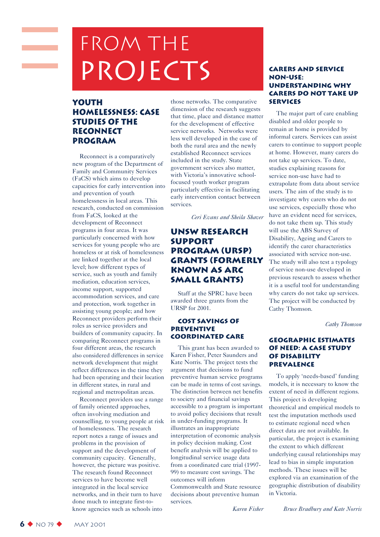# FROM THE PROJECTS

#### **Youth Homelessness: Case Studies of the Reconnect Program**

Reconnect is a comparatively new program of the Department of Family and Community Services (FaCS) which aims to develop capacities for early intervention into and prevention of youth homelessness in local areas. This research, conducted on commission from FaCS, looked at the development of Reconnect programs in four areas. It was particularly concerned with how services for young people who are homeless or at risk of homelessness are linked together at the local level; how different types of service, such as youth and family mediation, education services, income support, supported accommodation services, and care and protection, work together in assisting young people; and how Reconnect providers perform their roles as service providers and builders of community capacity. In comparing Reconnect programs in four different areas, the research also considered differences in service network development that might reflect differences in the time they had been operating and their location in different states, in rural and regional and metropolitan areas.

Reconnect providers use a range of family oriented approaches, often involving mediation and counselling, to young people at risk of homelessness. The research report notes a range of issues and problems in the provision of support and the development of community capacity. Generally, however, the picture was positive. The research found Reconnect services to have become well integrated in the local service networks, and in their turn to have done much to integrate first-toknow agencies such as schools into

those networks. The comparative dimension of the research suggests that time, place and distance matter for the development of effective service networks. Networks were less well developed in the case of both the rural area and the newly established Reconnect services included in the study. State government services also matter, with Victoria's innovative schoolfocused youth worker program particularly effective in facilitating early intervention contact between services.

*Ceri Evans and Sheila Shaver*

#### **UNSW Research Support Program (URSP) Grants (formerly known as ARC Small Grants)**

Staff at the SPRC have been awarded three grants from the URSP for 2001.

#### **Cost Savings of Preventive Coordinated Care**

This grant has been awarded to Karen Fisher, Peter Saunders and Kate Norris. The project tests the argument that decisions to fund preventive human service programs can be made in terms of cost savings. The distinction between net benefits to society and financial savings accessible to a program is important to avoid policy decisions that result in under-funding programs. It illustrates an inappropriate interpretation of economic analysis in policy decision making. Cost benefit analysis will be applied to longitudinal service usage data from a coordinated care trial (1997- 99) to measure cost savings. The outcomes will inform Commonwealth and State resource decisions about preventive human services.

#### **Carers and Service Non-Use: Understanding Why Carers Do Not Take Up Services**

The major part of care enabling disabled and older people to remain at home is provided by informal carers. Services can assist carers to continue to support people at home. However, many carers do not take up services. To date, studies explaining reasons for service non-use have had to extrapolate from data about service users. The aim of the study is to investigate why carers who do not use services, especially those who have an evident need for services, do not take them up. This study will use the ABS Survey of Disability, Ageing and Carers to identify the carer characteristics associated with service non-use. The study will also test a typology of service non-use developed in previous research to assess whether it is a useful tool for understanding why carers do not take up services. The project will be conducted by Cathy Thomson.

*Cathy Thomson*

#### **Geographic Estimates of Need: A Case Study of Disability Prevalence**

To apply 'needs-based' funding models, it is necessary to know the extent of need in different regions. This project is developing theoretical and empirical models to test the imputation methods used to estimate regional need when direct data are not available. In particular, the project is examining the extent to which different underlying causal relationships may lead to bias in simple imputation methods. These issues will be explored via an examination of the geographic distribution of disability in Victoria.

*Karen Fisher*

*Bruce Bradbury and Kate Norris*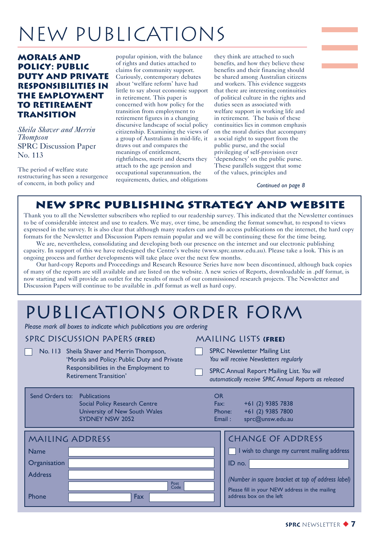# New Publications

#### **Morals and Policy: Public Duty and Private Responsibilities in the Employment to Retirement Transition**

*Sheila Shaver and Merrin Thompson* SPRC Discussion Paper No. 113

The period of welfare state restructuring has seen a resurgence of concern, in both policy and

popular opinion, with the balance of rights and duties attached to claims for community support. Curiously, contemporary debates about 'welfare reform' have had little to say about economic support in retirement. This paper is concerned with how policy for the transition from employment to retirement figures in a changing discursive landscape of social policy citizenship. Examining the views of a group of Australians in mid-life, it draws out and compares the meanings of entitlement, rightfulness, merit and deserts they attach to the age pension and occupational superannuation, the requirements, duties, and obligations

they think are attached to such benefits, and how they believe these benefits and their financing should be shared among Australian citizens and workers. This evidence suggests that there are interesting continuities of political culture in the rights and duties seen as associated with welfare support in working life and in retirement. The basis of these continuities lies in common emphasis on the moral duties that accompany a social right to support from the public purse, and the social privileging of self-provision over 'dependency' on the public purse. These parallels suggest that some of the values, principles and

*Continued on page 8*

#### **New SPRC Publishing Strategy and Website**

Thank you to all the Newsletter subscribers who replied to our readership survey. This indicated that the Newsletter continues to be of considerable interest and use to readers. We may, over time, be amending the format somewhat, to respond to views expressed in the survey. It is also clear that although many readers can and do access publications on the internet, the hard copy formats for the Newsletter and Discussion Papers remain popular and we will be continuing these for the time being.

We are, nevertheless, consolidating and developing both our presence on the internet and our electronic publishing capacity. In support of this we have redesigned the Centre's website (www.sprc.unsw.edu.au). Please take a look. This is an ongoing process and further developments will take place over the next few months.

Our hard-copy Reports and Proceedings and Research Resource Series have now been discontinued, although back copies of many of the reports are still available and are listed on the website. A new series of Reports, downloadable in .pdf format, is now starting and will provide an outlet for the results of much of our commissioned research projects. The Newsletter and Discussion Papers will continue to be available in .pdf format as well as hard copy.

### publications order form

*Please mark all boxes to indicate which publications you are ordering*

#### SPRC discussion Papers **(Free)**

Send C

No. 113 Sheila Shaver and Merrin Thompson, 'Morals and Policy: Public Duty and Private Responsibilities in the Employment to Retirement Transition'

#### Mailing Lists **(free)**

- SPRC Newsletter Mailing List *You will receive Newsletters regularly*
- SPRC Annual Report Mailing List. *You will automatically receive SPRC Annual Reports as released*

| Orders to: Publications              |
|--------------------------------------|
| <b>Social Policy Research Centre</b> |
| University of New South Wales        |
| <b>SYDNEY NSW 2052</b>               |

| K:     | $+61(2)$ |
|--------|----------|
| one:   | $+61(2)$ |
| iail : | sprc@ur  |

O<sub>o</sub>

| ◡       |                   |
|---------|-------------------|
| Fax:    | +61 (2) 9385 7838 |
| Phone:  | +61 (2) 9385 7800 |
| Email : | sprc@unsw.edu.au  |

| <b>MAILING ADDRESS</b> |              | <b>CHANGE OF ADDRESS</b>                           |
|------------------------|--------------|----------------------------------------------------|
| <b>Name</b>            |              | I wish to change my current mailing address        |
| Organisation           |              | ID no.                                             |
| <b>Address</b>         |              | (Number in square bracket at top of address label) |
|                        | Post<br>Code | Please fill in your NEW address in the mailing     |
| Phone                  | Fax          | address box on the left                            |